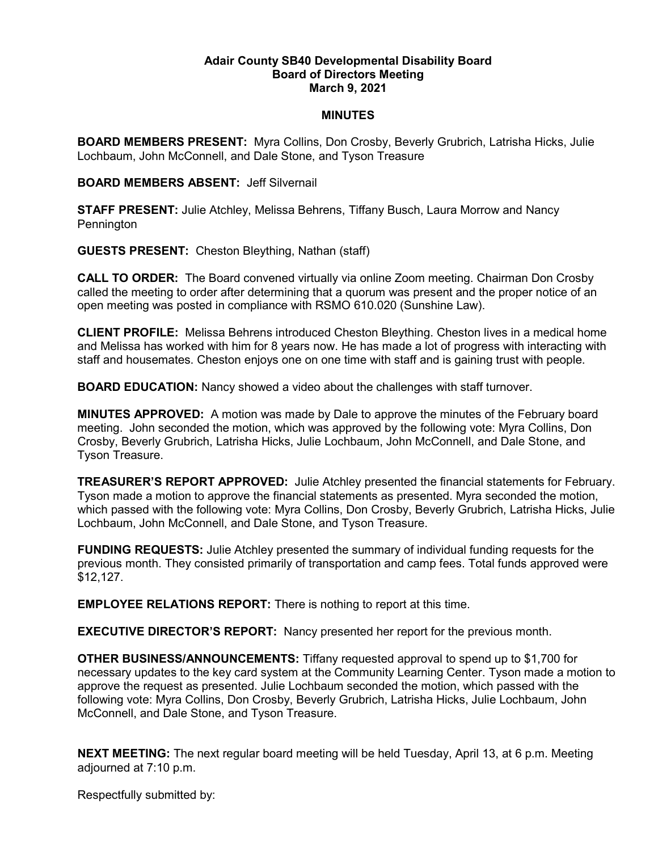## **Adair County SB40 Developmental Disability Board Board of Directors Meeting March 9, 2021**

## **MINUTES**

**BOARD MEMBERS PRESENT:** Myra Collins, Don Crosby, Beverly Grubrich, Latrisha Hicks, Julie Lochbaum, John McConnell, and Dale Stone, and Tyson Treasure

## **BOARD MEMBERS ABSENT:** Jeff Silvernail

**STAFF PRESENT:** Julie Atchley, Melissa Behrens, Tiffany Busch, Laura Morrow and Nancy Pennington

**GUESTS PRESENT:** Cheston Bleything, Nathan (staff)

**CALL TO ORDER:** The Board convened virtually via online Zoom meeting. Chairman Don Crosby called the meeting to order after determining that a quorum was present and the proper notice of an open meeting was posted in compliance with RSMO 610.020 (Sunshine Law).

**CLIENT PROFILE:** Melissa Behrens introduced Cheston Bleything. Cheston lives in a medical home and Melissa has worked with him for 8 years now. He has made a lot of progress with interacting with staff and housemates. Cheston enjoys one on one time with staff and is gaining trust with people.

**BOARD EDUCATION:** Nancy showed a video about the challenges with staff turnover.

**MINUTES APPROVED:** A motion was made by Dale to approve the minutes of the February board meeting. John seconded the motion, which was approved by the following vote: Myra Collins, Don Crosby, Beverly Grubrich, Latrisha Hicks, Julie Lochbaum, John McConnell, and Dale Stone, and Tyson Treasure.

**TREASURER'S REPORT APPROVED:** Julie Atchley presented the financial statements for February. Tyson made a motion to approve the financial statements as presented. Myra seconded the motion, which passed with the following vote: Myra Collins, Don Crosby, Beverly Grubrich, Latrisha Hicks, Julie Lochbaum, John McConnell, and Dale Stone, and Tyson Treasure.

**FUNDING REQUESTS:** Julie Atchley presented the summary of individual funding requests for the previous month. They consisted primarily of transportation and camp fees. Total funds approved were \$12,127.

**EMPLOYEE RELATIONS REPORT:** There is nothing to report at this time.

**EXECUTIVE DIRECTOR'S REPORT:** Nancy presented her report for the previous month.

**OTHER BUSINESS/ANNOUNCEMENTS:** Tiffany requested approval to spend up to \$1,700 for necessary updates to the key card system at the Community Learning Center. Tyson made a motion to approve the request as presented. Julie Lochbaum seconded the motion, which passed with the following vote: Myra Collins, Don Crosby, Beverly Grubrich, Latrisha Hicks, Julie Lochbaum, John McConnell, and Dale Stone, and Tyson Treasure.

**NEXT MEETING:** The next regular board meeting will be held Tuesday, April 13, at 6 p.m. Meeting adjourned at 7:10 p.m.

Respectfully submitted by: